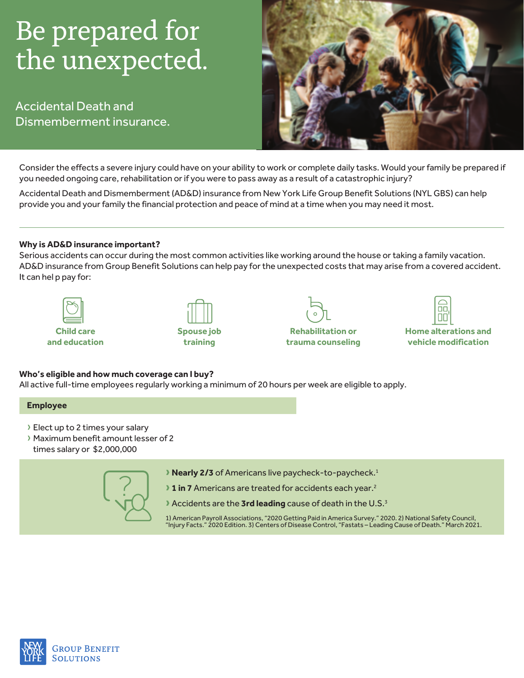# Be prepared for the unexpected.

**Accidental Death and** Dismemberment insurance.



Consider the effects a severe injury could have on your ability to work or complete daily tasks. Would your family be prepared if you needed ongoing care, rehabilitation or if you were to pass away as a result of a catastrophic injury?

Accidental Death and Dismemberment (AD&D) insurance from New York Life Group Benefit Solutions (NYL GBS) can help provide you and your family the financial protection and peace of mind at a time when you may need it most.

## **Why is AD&D insurance important?**

Serious accidents can occur during the most common activities like working around the house or taking a family vacation. AD&D insurance from Group Benefit Solutions can help pay for the unexpected costs that may arise from a covered accident. It can help pay for:







**Rehabilitation or trauma counseling** 



**Home alterations and vehicle** modification

#### Who's eligible and how much coverage can I buy?

All active full-time employees regularly working a minimum of 20 hours per week are eligible to apply.

#### **Employee**

- › Elect up to 2 times your salary
- › Maximum benefit amount lesser of 2 times salary or \$2,000,000



- **>** Nearly 2/3 of Americans live paycheck-to-paycheck.<sup>1</sup>
- **1 in 7** Americans are treated for accidents each year.<sup>2</sup>
- **Accidents are the 3rd leading cause of death in the U.S.<sup>3</sup>**

1) American Payroll Associations, "2020 Getting Paid in America Survey." 2020. 2) National Safety Council, " Injury Facts." 2020 Edition. 3) Centers of Disease Control, "Fastats – Leading Cause of Death." March 2021.